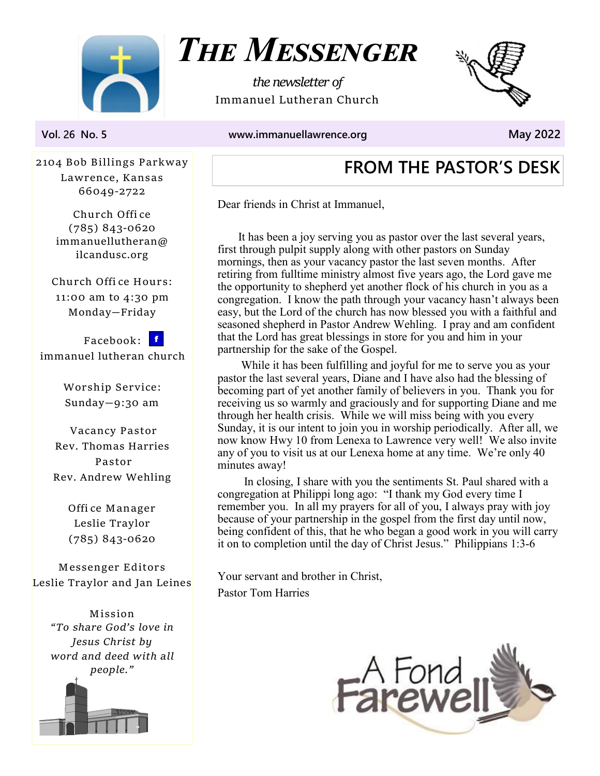

THE MESSENGER

the newsletter of Immanuel Lutheran Church



Vol. 26 No. 5 www.immanuellawrence.org May 2022

2104 Bob Billings Parkway Lawrence, Kansas 66049-2722

> Church Offi ce (785) 843-0620 immanuellutheran@ ilcandusc.org

Church Offi ce Hours: 11:00 am to 4:30 pm Monday—Friday

Facebook: f immanuel lutheran church

> Worship Service: Sunday—9:30 am

Vacancy Pastor Rev. Thomas Harries Pastor Rev. Andrew Wehling

> Offi ce Manager Leslie Traylor (785) 843-0620

Messenger Editors Leslie Traylor and Jan Leines

> Mission "To share God's love in Jesus Christ by word and deed with all people."



# FROM THE PASTOR'S DESK

Dear friends in Christ at Immanuel,

 It has been a joy serving you as pastor over the last several years, first through pulpit supply along with other pastors on Sunday mornings, then as your vacancy pastor the last seven months. After retiring from fulltime ministry almost five years ago, the Lord gave me the opportunity to shepherd yet another flock of his church in you as a congregation. I know the path through your vacancy hasn't always been easy, but the Lord of the church has now blessed you with a faithful and seasoned shepherd in Pastor Andrew Wehling. I pray and am confident that the Lord has great blessings in store for you and him in your partnership for the sake of the Gospel.

 While it has been fulfilling and joyful for me to serve you as your pastor the last several years, Diane and I have also had the blessing of becoming part of yet another family of believers in you. Thank you for receiving us so warmly and graciously and for supporting Diane and me through her health crisis. While we will miss being with you every Sunday, it is our intent to join you in worship periodically. After all, we now know Hwy 10 from Lenexa to Lawrence very well! We also invite any of you to visit us at our Lenexa home at any time. We're only 40 minutes away!

 In closing, I share with you the sentiments St. Paul shared with a congregation at Philippi long ago: "I thank my God every time I remember you. In all my prayers for all of you, I always pray with joy because of your partnership in the gospel from the first day until now, being confident of this, that he who began a good work in you will carry it on to completion until the day of Christ Jesus." Philippians 1:3-6

Your servant and brother in Christ, Pastor Tom Harries

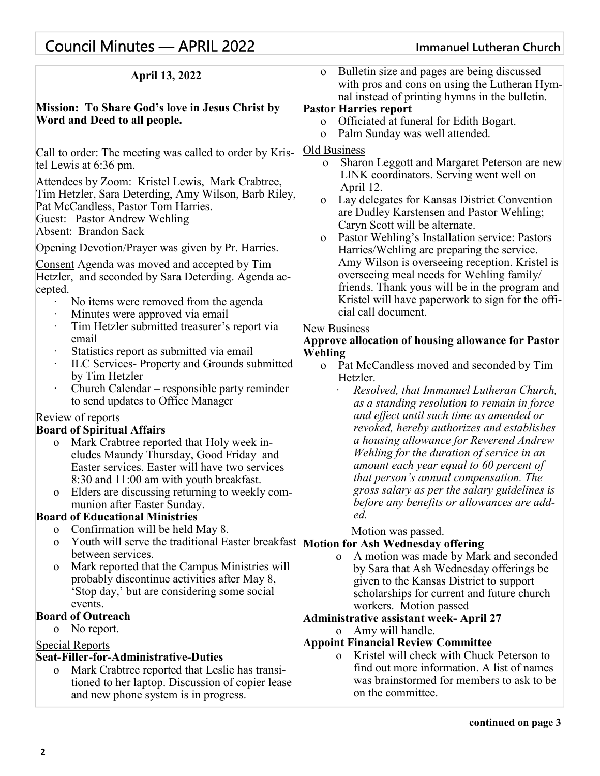# Council Minutes — APRIL 2022 Immanuel Lutheran Church

## April 13, 2022

### Mission: To Share God's love in Jesus Christ by Word and Deed to all people.

Call to order: The meeting was called to order by Kristel Lewis at 6:36 pm.

Attendees by Zoom: Kristel Lewis, Mark Crabtree, Tim Hetzler, Sara Deterding, Amy Wilson, Barb Riley, Pat McCandless, Pastor Tom Harries. Guest: Pastor Andrew Wehling Absent: Brandon Sack

Opening Devotion/Prayer was given by Pr. Harries.

Consent Agenda was moved and accepted by Tim Hetzler, and seconded by Sara Deterding. Agenda accepted.

- No items were removed from the agenda
- Minutes were approved via email
- ā Tim Hetzler submitted treasurer's report via email
- Statistics report as submitted via email
- ā ILC Services- Property and Grounds submitted by Tim Hetzler
- ā Church Calendar responsible party reminder to send updates to Office Manager

#### Review of reports

#### Board of Spiritual Affairs

- o Mark Crabtree reported that Holy week includes Maundy Thursday, Good Friday and Easter services. Easter will have two services 8:30 and 11:00 am with youth breakfast.
- o Elders are discussing returning to weekly communion after Easter Sunday.

#### Board of Educational Ministries

- o Confirmation will be held May 8.
- o Youth will serve the traditional Easter breakfast Motion for Ash Wednesday offering between services.
- o Mark reported that the Campus Ministries will probably discontinue activities after May 8, 'Stop day,' but are considering some social events.

#### Board of Outreach

o No report.

## Special Reports

#### Seat-Filler-for-Administrative-Duties

o Mark Crabtree reported that Leslie has transitioned to her laptop. Discussion of copier lease and new phone system is in progress.

o Bulletin size and pages are being discussed with pros and cons on using the Lutheran Hymnal instead of printing hymns in the bulletin.

#### Pastor Harries report

- o Officiated at funeral for Edith Bogart.
- o Palm Sunday was well attended.
- Old Business
	- Sharon Leggott and Margaret Peterson are new LINK coordinators. Serving went well on April 12.
	- o Lay delegates for Kansas District Convention are Dudley Karstensen and Pastor Wehling; Caryn Scott will be alternate.
	- o Pastor Wehling's Installation service: Pastors Harries/Wehling are preparing the service. Amy Wilson is overseeing reception. Kristel is overseeing meal needs for Wehling family/ friends. Thank yous will be in the program and Kristel will have paperwork to sign for the official call document.

#### New Business

#### Approve allocation of housing allowance for Pastor Wehling

- o Pat McCandless moved and seconded by Tim Hetzler.
	- ā Resolved, that Immanuel Lutheran Church, as a standing resolution to remain in force and effect until such time as amended or revoked, hereby authorizes and establishes a housing allowance for Reverend Andrew Wehling for the duration of service in an amount each year equal to 60 percent of that person's annual compensation. The gross salary as per the salary guidelines is before any benefits or allowances are added.
		- Motion was passed.

o A motion was made by Mark and seconded by Sara that Ash Wednesday offerings be given to the Kansas District to support scholarships for current and future church workers. Motion passed

## Administrative assistant week- April 27

o Amy will handle.

### Appoint Financial Review Committee

o Kristel will check with Chuck Peterson to find out more information. A list of names was brainstormed for members to ask to be on the committee.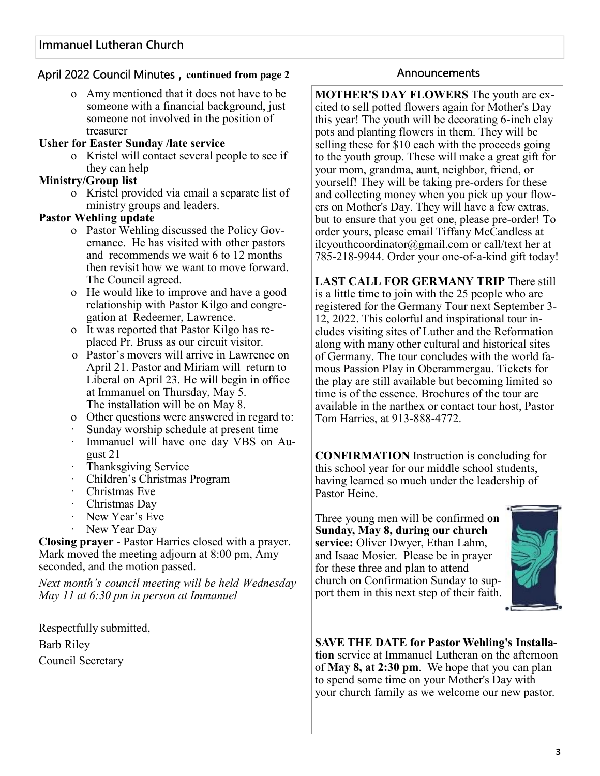## April 2022 Council Minutes, continued from page 2 Announcements

o Amy mentioned that it does not have to be someone with a financial background, just someone not involved in the position of treasurer

#### Usher for Easter Sunday /late service

o Kristel will contact several people to see if they can help

### Ministry/Group list

o Kristel provided via email a separate list of ministry groups and leaders.

### Pastor Wehling update

- o Pastor Wehling discussed the Policy Governance. He has visited with other pastors and recommends we wait 6 to 12 months then revisit how we want to move forward. The Council agreed.
- o He would like to improve and have a good relationship with Pastor Kilgo and congregation at Redeemer, Lawrence.
- o It was reported that Pastor Kilgo has replaced Pr. Bruss as our circuit visitor.
- o Pastor's movers will arrive in Lawrence on April 21. Pastor and Miriam will return to Liberal on April 23. He will begin in office at Immanuel on Thursday, May 5. The installation will be on May 8.
- o Other questions were answered in regard to:
- ā Sunday worship schedule at present time
- Immanuel will have one day VBS on August 21
- ā Thanksgiving Service
- ā Children's Christmas Program
- $\cdot$  Christmas Eve
- $\cdot$  Christmas Dav
- New Year's Eve
- New Year Day

Closing prayer - Pastor Harries closed with a prayer. Mark moved the meeting adjourn at 8:00 pm, Amy seconded, and the motion passed.

Next month's council meeting will be held Wednesday May 11 at 6:30 pm in person at Immanuel

Respectfully submitted, Barb Riley Council Secretary

MOTHER'S DAY FLOWERS The youth are excited to sell potted flowers again for Mother's Day this year! The youth will be decorating 6-inch clay pots and planting flowers in them. They will be selling these for \$10 each with the proceeds going to the youth group. These will make a great gift for your mom, grandma, aunt, neighbor, friend, or yourself! They will be taking pre-orders for these and collecting money when you pick up your flowers on Mother's Day. They will have a few extras, but to ensure that you get one, please pre-order! To order yours, please email Tiffany McCandless at ilcyouthcoordinator@gmail.com or call/text her at 785-218-9944. Order your one-of-a-kind gift today!

LAST CALL FOR GERMANY TRIP There still is a little time to join with the 25 people who are registered for the Germany Tour next September 3- 12, 2022. This colorful and inspirational tour includes visiting sites of Luther and the Reformation along with many other cultural and historical sites of Germany. The tour concludes with the world famous Passion Play in Oberammergau. Tickets for the play are still available but becoming limited so time is of the essence. Brochures of the tour are available in the narthex or contact tour host, Pastor Tom Harries, at 913-888-4772.

CONFIRMATION Instruction is concluding for this school year for our middle school students, having learned so much under the leadership of Pastor Heine.

Three young men will be confirmed on Sunday, May 8, during our church service: Oliver Dwyer, Ethan Lahm, and Isaac Mosier. Please be in prayer for these three and plan to attend church on Confirmation Sunday to support them in this next step of their faith.



SAVE THE DATE for Pastor Wehling's Installation service at Immanuel Lutheran on the afternoon of May 8, at 2:30 pm. We hope that you can plan to spend some time on your Mother's Day with your church family as we welcome our new pastor.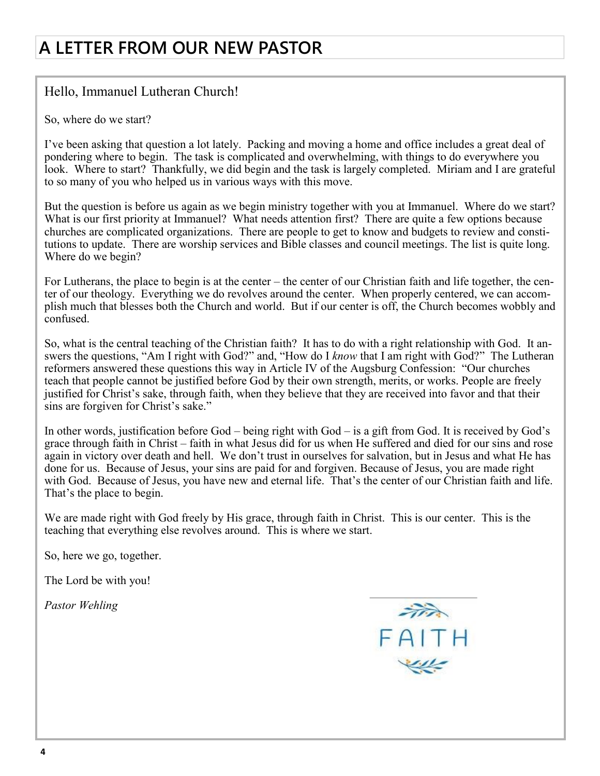# A LETTER FROM OUR NEW PASTOR

## Hello, Immanuel Lutheran Church!

So, where do we start?

I've been asking that question a lot lately. Packing and moving a home and office includes a great deal of pondering where to begin. The task is complicated and overwhelming, with things to do everywhere you look. Where to start? Thankfully, we did begin and the task is largely completed. Miriam and I are grateful to so many of you who helped us in various ways with this move.

But the question is before us again as we begin ministry together with you at Immanuel. Where do we start? What is our first priority at Immanuel? What needs attention first? There are quite a few options because churches are complicated organizations. There are people to get to know and budgets to review and constitutions to update. There are worship services and Bible classes and council meetings. The list is quite long. Where do we begin?

For Lutherans, the place to begin is at the center – the center of our Christian faith and life together, the center of our theology. Everything we do revolves around the center. When properly centered, we can accomplish much that blesses both the Church and world. But if our center is off, the Church becomes wobbly and confused.

So, what is the central teaching of the Christian faith? It has to do with a right relationship with God. It answers the questions, "Am I right with God?" and, "How do I know that I am right with God?" The Lutheran reformers answered these questions this way in Article IV of the Augsburg Confession: "Our churches teach that people cannot be justified before God by their own strength, merits, or works. People are freely justified for Christ's sake, through faith, when they believe that they are received into favor and that their sins are forgiven for Christ's sake."

In other words, justification before God – being right with God – is a gift from God. It is received by God's grace through faith in Christ – faith in what Jesus did for us when He suffered and died for our sins and rose again in victory over death and hell. We don't trust in ourselves for salvation, but in Jesus and what He has done for us. Because of Jesus, your sins are paid for and forgiven. Because of Jesus, you are made right with God. Because of Jesus, you have new and eternal life. That's the center of our Christian faith and life. That's the place to begin.

We are made right with God freely by His grace, through faith in Christ. This is our center. This is the teaching that everything else revolves around. This is where we start.

So, here we go, together.

The Lord be with you!

Pastor Wehling

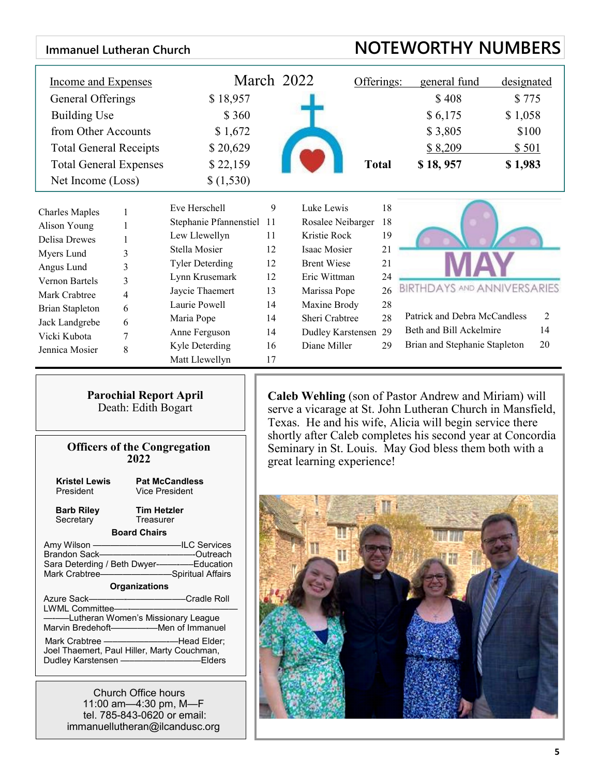| <b>NOTEWORTHY NUMBERS</b><br><b>Immanuel Lutheran Church</b>                                                                                                                                                                                                                                                                                                                                                                                                                                                                                                                                                                                                                                     |                                  |                                                                                                                                                                                                                                                                                                                                           |                      |              |                                    |            |
|--------------------------------------------------------------------------------------------------------------------------------------------------------------------------------------------------------------------------------------------------------------------------------------------------------------------------------------------------------------------------------------------------------------------------------------------------------------------------------------------------------------------------------------------------------------------------------------------------------------------------------------------------------------------------------------------------|----------------------------------|-------------------------------------------------------------------------------------------------------------------------------------------------------------------------------------------------------------------------------------------------------------------------------------------------------------------------------------------|----------------------|--------------|------------------------------------|------------|
| <b>Income and Expenses</b>                                                                                                                                                                                                                                                                                                                                                                                                                                                                                                                                                                                                                                                                       |                                  |                                                                                                                                                                                                                                                                                                                                           | March 2022           | Offerings:   | general fund                       | designated |
| General Offerings                                                                                                                                                                                                                                                                                                                                                                                                                                                                                                                                                                                                                                                                                | \$18,957                         |                                                                                                                                                                                                                                                                                                                                           |                      |              | \$408                              | \$775      |
| <b>Building Use</b>                                                                                                                                                                                                                                                                                                                                                                                                                                                                                                                                                                                                                                                                              | \$360                            |                                                                                                                                                                                                                                                                                                                                           |                      |              | \$6,175                            | \$1,058    |
| from Other Accounts                                                                                                                                                                                                                                                                                                                                                                                                                                                                                                                                                                                                                                                                              | \$1,672                          |                                                                                                                                                                                                                                                                                                                                           |                      |              | \$3,805                            | \$100      |
| <b>Total General Receipts</b>                                                                                                                                                                                                                                                                                                                                                                                                                                                                                                                                                                                                                                                                    | \$20,629                         |                                                                                                                                                                                                                                                                                                                                           |                      |              | \$8,209                            | \$501      |
| <b>Total General Expenses</b>                                                                                                                                                                                                                                                                                                                                                                                                                                                                                                                                                                                                                                                                    | \$22,159                         |                                                                                                                                                                                                                                                                                                                                           |                      | <b>Total</b> | \$18,957                           | \$1,983    |
| Net Income (Loss)                                                                                                                                                                                                                                                                                                                                                                                                                                                                                                                                                                                                                                                                                | \$(1,530)                        |                                                                                                                                                                                                                                                                                                                                           |                      |              |                                    |            |
|                                                                                                                                                                                                                                                                                                                                                                                                                                                                                                                                                                                                                                                                                                  |                                  |                                                                                                                                                                                                                                                                                                                                           |                      |              |                                    |            |
| <b>Charles Maples</b><br>1                                                                                                                                                                                                                                                                                                                                                                                                                                                                                                                                                                                                                                                                       | Eve Herschell                    | 9                                                                                                                                                                                                                                                                                                                                         | Luke Lewis           | 18           |                                    |            |
| Alison Young<br>1                                                                                                                                                                                                                                                                                                                                                                                                                                                                                                                                                                                                                                                                                | Stephanie Pfannenstiel 11        |                                                                                                                                                                                                                                                                                                                                           | Rosalee Neibarger    | 18           |                                    |            |
| <b>Delisa Drewes</b><br>1                                                                                                                                                                                                                                                                                                                                                                                                                                                                                                                                                                                                                                                                        | Lew Llewellyn                    | 11                                                                                                                                                                                                                                                                                                                                        | Kristie Rock         | 19           |                                    |            |
| Myers Lund<br>3                                                                                                                                                                                                                                                                                                                                                                                                                                                                                                                                                                                                                                                                                  | Stella Mosier                    | 12                                                                                                                                                                                                                                                                                                                                        | Isaac Mosier         | 21           |                                    |            |
| Angus Lund<br>3                                                                                                                                                                                                                                                                                                                                                                                                                                                                                                                                                                                                                                                                                  | <b>Tyler Deterding</b>           | 12                                                                                                                                                                                                                                                                                                                                        | <b>Brent Wiese</b>   | 21           |                                    |            |
| Vernon Bartels<br>3                                                                                                                                                                                                                                                                                                                                                                                                                                                                                                                                                                                                                                                                              | Lynn Krusemark                   | 12                                                                                                                                                                                                                                                                                                                                        | Eric Wittman         | 24           |                                    |            |
| Mark Crabtree<br>4                                                                                                                                                                                                                                                                                                                                                                                                                                                                                                                                                                                                                                                                               | Jaycie Thaemert                  | 13                                                                                                                                                                                                                                                                                                                                        | Marissa Pope         | 26           | <b>BIRTHDAYS AND ANNIVERSARIES</b> |            |
| <b>Brian Stapleton</b><br>6                                                                                                                                                                                                                                                                                                                                                                                                                                                                                                                                                                                                                                                                      | Laurie Powell                    | 14                                                                                                                                                                                                                                                                                                                                        | Maxine Brody         | 28           | Patrick and Debra McCandless       | 2          |
| Jack Landgrebe<br>6                                                                                                                                                                                                                                                                                                                                                                                                                                                                                                                                                                                                                                                                              | Maria Pope                       | 14                                                                                                                                                                                                                                                                                                                                        | Sheri Crabtree       | 28           | Beth and Bill Ackelmire            | 14         |
| Vicki Kubota<br>7                                                                                                                                                                                                                                                                                                                                                                                                                                                                                                                                                                                                                                                                                | Anne Ferguson                    | 14                                                                                                                                                                                                                                                                                                                                        | Dudley Karstensen 29 |              | Brian and Stephanie Stapleton      | 20         |
| 8<br>Jennica Mosier                                                                                                                                                                                                                                                                                                                                                                                                                                                                                                                                                                                                                                                                              | Kyle Deterding<br>Matt Llewellyn | 16<br>17                                                                                                                                                                                                                                                                                                                                  | Diane Miller         | 29           |                                    |            |
| <b>Parochial Report April</b><br>Death: Edith Bogart<br><b>Officers of the Congregation</b><br>2022                                                                                                                                                                                                                                                                                                                                                                                                                                                                                                                                                                                              |                                  | <b>Caleb Wehling</b> (son of Pastor Andrew and Miriam) will<br>serve a vicarage at St. John Lutheran Church in Mansfield,<br>Texas. He and his wife, Alicia will begin service there<br>shortly after Caleb completes his second year at Concordia<br>Seminary in St. Louis. May God bless them both with a<br>great learning experience! |                      |              |                                    |            |
| <b>Kristel Lewis</b><br><b>Pat McCandless</b><br><b>Vice President</b><br>President<br><b>Tim Hetzler</b><br><b>Barb Riley</b><br>Treasurer<br>Secretary<br><b>Board Chairs</b><br>Amy Wilson ———————————ILC Services<br>Brandon Sack———————————Outreach<br>Sara Deterding / Beth Dwyer-<br>------------Education<br>Mark Crabtree-Campion and Spiritual Affairs<br><b>Organizations</b><br>----Lutheran Women's Missionary League<br>Mark Crabtree - - - - - - - - - - - - - - Head Elder;<br>Joel Thaemert, Paul Hiller, Marty Couchman,<br>Dudley Karstensen - Elders<br><b>Church Office hours</b><br>11:00 am-4:30 pm, M-F<br>tel. 785-843-0620 or email:<br>immanuellutheran@ilcandusc.org |                                  |                                                                                                                                                                                                                                                                                                                                           |                      |              |                                    |            |